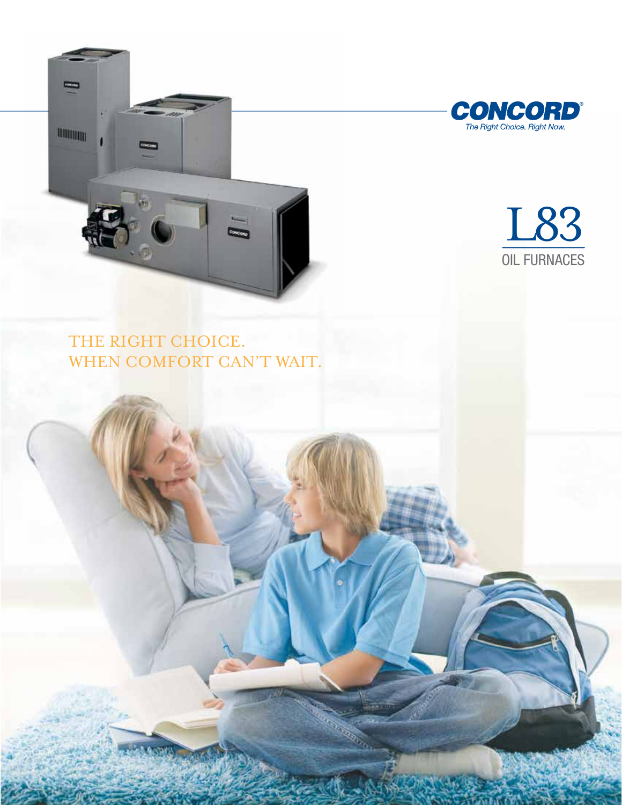



L83 OIL FURNACES

THE RIGHT CHOICE. WHEN COMFORT CAN'T WAIT.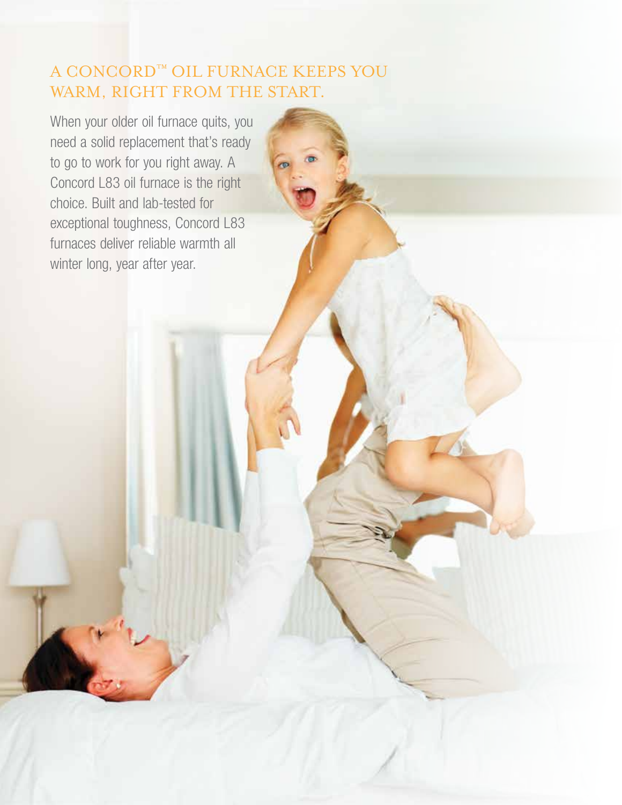# A CONCORD™ OIL FURNACE KEEPS YOU WARM, RIGHT FROM THE START.

When your older oil furnace quits, you need a solid replacement that's ready to go to work for you right away. A Concord L83 oil furnace is the right choice. Built and lab-tested for exceptional toughness, Concord L83 furnaces deliver reliable warmth all winter long, year after year.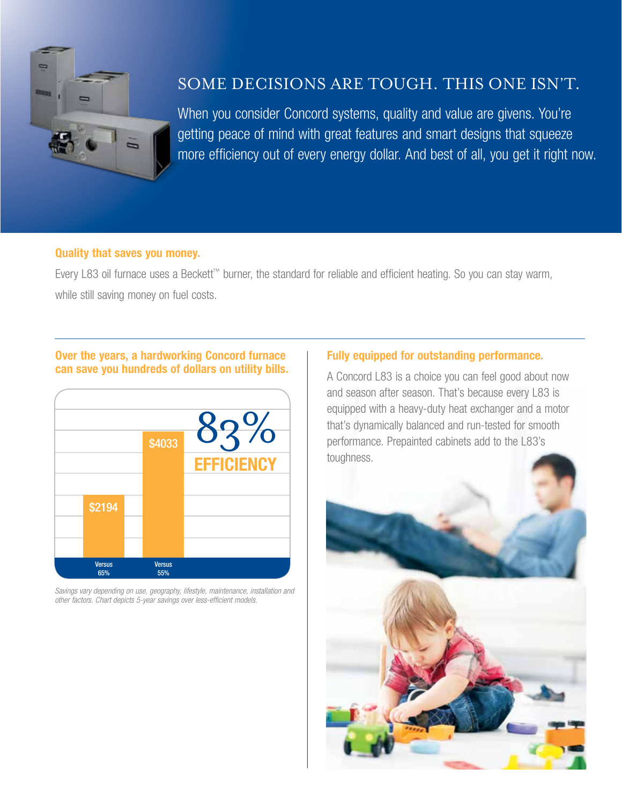

### Some decisions are tough. This one isn't.

When you consider Concord systems, quality and value are givens. You're getting peace of mind with great features and smart designs that squeeze more efficiency out of every energy dollar. And best of all, you get it right now.

#### Quality that saves you money.

Every L83 oil furnace uses a Beckett™ burner, the standard for reliable and efficient heating. So you can stay warm, while still saving money on fuel costs.

#### Over the years, a hardworking Concord furnace can save you hundreds of dollars on utility bills.



*Savings vary depending on use, geography, lifestyle, maintenance, installation and other factors. Chart depicts 5-year savings over less-efficient models.*

### Fully equipped for outstanding performance.

A Concord L83 is a choice you can feel good about now and season after season. That's because every L83 is equipped with a heavy-duty heat exchanger and a motor that's dynamically balanced and run-tested for smooth performance. Prepainted cabinets add to the L83's toughness.